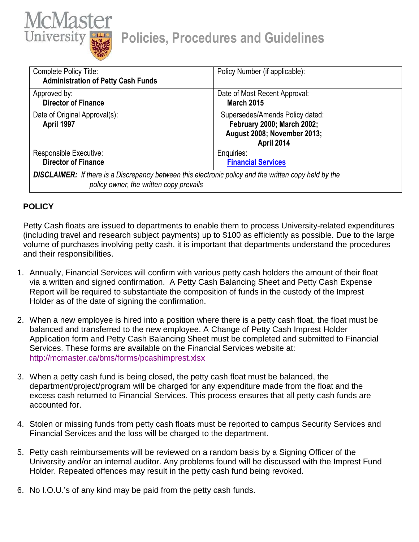

| Complete Policy Title:<br><b>Administration of Petty Cash Funds</b>                                                                                     | Policy Number (if applicable):                                                                             |
|---------------------------------------------------------------------------------------------------------------------------------------------------------|------------------------------------------------------------------------------------------------------------|
| Approved by:<br><b>Director of Finance</b>                                                                                                              | Date of Most Recent Approval:<br><b>March 2015</b>                                                         |
| Date of Original Approval(s):<br>April 1997                                                                                                             | Supersedes/Amends Policy dated:<br>February 2000; March 2002;<br>August 2008; November 2013;<br>April 2014 |
| Responsible Executive:<br><b>Director of Finance</b>                                                                                                    | Enquiries:<br><b>Financial Services</b>                                                                    |
| <b>DISCLAIMER:</b> If there is a Discrepancy between this electronic policy and the written copy held by the<br>policy owner, the written copy prevails |                                                                                                            |

## **POLICY**

Petty Cash floats are issued to departments to enable them to process University-related expenditures (including travel and research subject payments) up to \$100 as efficiently as possible. Due to the large volume of purchases involving petty cash, it is important that departments understand the procedures and their responsibilities.

- 1. Annually, Financial Services will confirm with various petty cash holders the amount of their float via a written and signed confirmation. A Petty Cash Balancing Sheet and Petty Cash Expense Report will be required to substantiate the composition of funds in the custody of the Imprest Holder as of the date of signing the confirmation.
- 2. When a new employee is hired into a position where there is a petty cash float, the float must be balanced and transferred to the new employee. A Change of Petty Cash Imprest Holder Application form and Petty Cash Balancing Sheet must be completed and submitted to Financial Services. These forms are available on the Financial Services website at: <http://mcmaster.ca/bms/forms/pcashimprest.xlsx>
- 3. When a petty cash fund is being closed, the petty cash float must be balanced, the department/project/program will be charged for any expenditure made from the float and the excess cash returned to Financial Services. This process ensures that all petty cash funds are accounted for.
- 4. Stolen or missing funds from petty cash floats must be reported to campus Security Services and Financial Services and the loss will be charged to the department.
- 5. Petty cash reimbursements will be reviewed on a random basis by a Signing Officer of the University and/or an internal auditor. Any problems found will be discussed with the Imprest Fund Holder. Repeated offences may result in the petty cash fund being revoked.
- 6. No I.O.U.'s of any kind may be paid from the petty cash funds.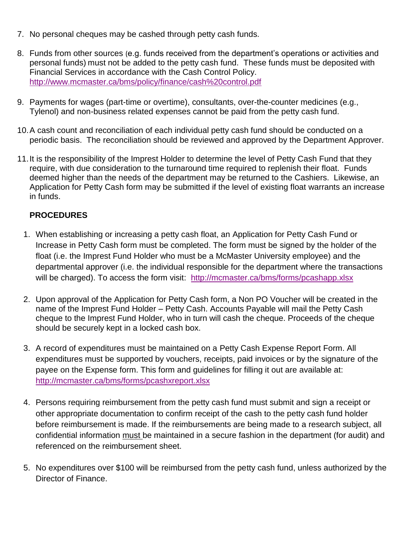- 7. No personal cheques may be cashed through petty cash funds.
- 8. Funds from other sources (e.g. funds received from the department's operations or activities and personal funds) must not be added to the petty cash fund. These funds must be deposited with Financial Services in accordance with the Cash Control Policy. <http://www.mcmaster.ca/bms/policy/finance/cash%20control.pdf>
- 9. Payments for wages (part-time or overtime), consultants, over-the-counter medicines (e.g., Tylenol) and non-business related expenses cannot be paid from the petty cash fund.
- 10.A cash count and reconciliation of each individual petty cash fund should be conducted on a periodic basis. The reconciliation should be reviewed and approved by the Department Approver.
- 11.It is the responsibility of the Imprest Holder to determine the level of Petty Cash Fund that they require, with due consideration to the turnaround time required to replenish their float. Funds deemed higher than the needs of the department may be returned to the Cashiers. Likewise, an Application for Petty Cash form may be submitted if the level of existing float warrants an increase in funds.

## **PROCEDURES**

- 1. When establishing or increasing a petty cash float, an Application for Petty Cash Fund or Increase in Petty Cash form must be completed. The form must be signed by the holder of the float (i.e. the Imprest Fund Holder who must be a McMaster University employee) and the departmental approver (i.e. the individual responsible for the department where the transactions will be charged). To access the form visit: <http://mcmaster.ca/bms/forms/pcashapp.xlsx>
- 2. Upon approval of the Application for Petty Cash form, a Non PO Voucher will be created in the name of the Imprest Fund Holder – Petty Cash. Accounts Payable will mail the Petty Cash cheque to the Imprest Fund Holder, who in turn will cash the cheque. Proceeds of the cheque should be securely kept in a locked cash box.
- 3. A record of expenditures must be maintained on a Petty Cash Expense Report Form. All expenditures must be supported by vouchers, receipts, paid invoices or by the signature of the payee on the Expense form. This form and guidelines for filling it out are available at: <http://mcmaster.ca/bms/forms/pcashxreport.xlsx>
- 4. Persons requiring reimbursement from the petty cash fund must submit and sign a receipt or other appropriate documentation to confirm receipt of the cash to the petty cash fund holder before reimbursement is made. If the reimbursements are being made to a research subject, all confidential information must be maintained in a secure fashion in the department (for audit) and referenced on the reimbursement sheet.
- 5. No expenditures over \$100 will be reimbursed from the petty cash fund, unless authorized by the Director of Finance.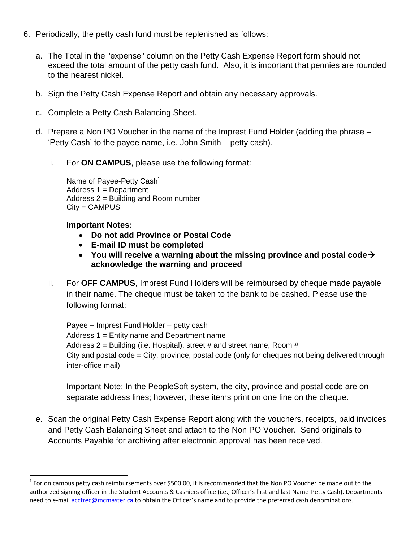- 6. Periodically, the petty cash fund must be replenished as follows:
	- a. The Total in the "expense" column on the Petty Cash Expense Report form should not exceed the total amount of the petty cash fund. Also, it is important that pennies are rounded to the nearest nickel.
	- b. Sign the Petty Cash Expense Report and obtain any necessary approvals.
	- c. Complete a Petty Cash Balancing Sheet.
	- d. Prepare a Non PO Voucher in the name of the Imprest Fund Holder (adding the phrase 'Petty Cash' to the payee name, i.e. John Smith – petty cash).
		- i. For **ON CAMPUS**, please use the following format:

Name of Payee-Petty Cash<sup>1</sup> Address 1 = Department Address 2 = Building and Room number City = CAMPUS

## **Important Notes:**

 $\overline{\phantom{a}}$ 

- **Do not add Province or Postal Code**
- **E-mail ID must be completed**
- **You will receive a warning about the missing province and postal code acknowledge the warning and proceed**
- ii. For **OFF CAMPUS**, Imprest Fund Holders will be reimbursed by cheque made payable in their name. The cheque must be taken to the bank to be cashed. Please use the following format:

Payee + Imprest Fund Holder – petty cash Address 1 = Entity name and Department name Address 2 = Building (i.e. Hospital), street # and street name, Room # City and postal code = City, province, postal code (only for cheques not being delivered through inter-office mail)

Important Note: In the PeopleSoft system, the city, province and postal code are on separate address lines; however, these items print on one line on the cheque.

e. Scan the original Petty Cash Expense Report along with the vouchers, receipts, paid invoices and Petty Cash Balancing Sheet and attach to the Non PO Voucher. Send originals to Accounts Payable for archiving after electronic approval has been received.

 $1$  For on campus petty cash reimbursements over \$500.00, it is recommended that the Non PO Voucher be made out to the authorized signing officer in the Student Accounts & Cashiers office (i.e., Officer's first and last Name-Petty Cash). Departments need to e-mai[l acctrec@mcmaster.ca](mailto:acctrec@mcmaster.ca) to obtain the Officer's name and to provide the preferred cash denominations.